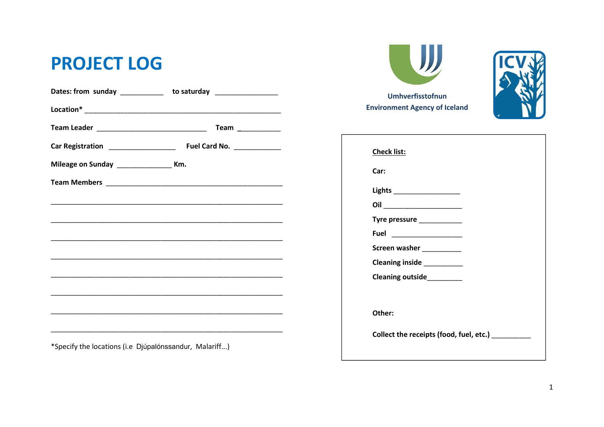## **PROJECT LOG**

|                                             | Dates: from sunday ____________ to saturday _________________                                                        |
|---------------------------------------------|----------------------------------------------------------------------------------------------------------------------|
|                                             |                                                                                                                      |
|                                             | Team $\frac{1}{\sqrt{1-\frac{1}{2}}\cdot\frac{1}{2}}$                                                                |
|                                             |                                                                                                                      |
| Mileage on Sunday _____________________ Km. |                                                                                                                      |
|                                             |                                                                                                                      |
|                                             | <u> 1989 - Johann John Harry Harry Harry Harry Harry Harry Harry Harry Harry Harry Harry Harry Harry Harry Harry</u> |
|                                             |                                                                                                                      |
|                                             |                                                                                                                      |
|                                             | <u> 1989 - Johann John Harry Harry Harry Harry Harry Harry Harry Harry Harry Harry Harry Harry Harry Harry Harry</u> |
|                                             | <u> 1989 - Johann John Stone, menydd y gweledd y cynnwys y gan y gan y gan y gan y gan y gan y gan y gan y gan y</u> |
|                                             |                                                                                                                      |
|                                             |                                                                                                                      |
|                                             |                                                                                                                      |
|                                             |                                                                                                                      |



Umhverfisstofnun **Environment Agency of Iceland** 



| Car:                                    |  |  |
|-----------------------------------------|--|--|
| Lights ____________________             |  |  |
| Oil _____________________               |  |  |
| Tyre pressure _____________             |  |  |
|                                         |  |  |
| Screen washer ___________               |  |  |
| Cleaning inside __________              |  |  |
| Cleaning outside_________               |  |  |
|                                         |  |  |
| Other:                                  |  |  |
| Collect the receipts (food, fuel, etc.) |  |  |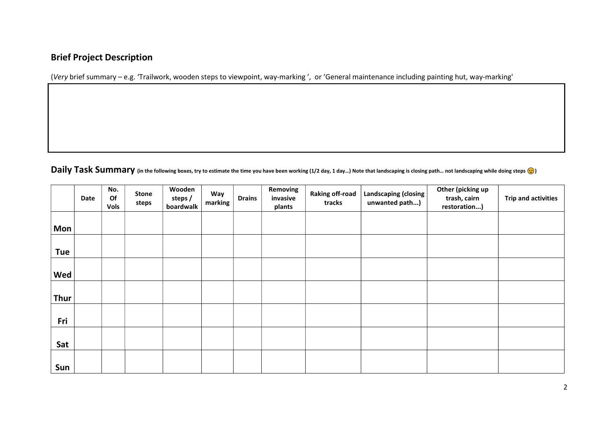## Brief Project Description

(Very brief summary – e.g. 'Trailwork, wooden steps to viewpoint, way-marking ', or 'General maintenance including painting hut, way-marking'

Daily Task Summary (in the following boxes, try to estimate the time you have been working (1/2 day, 1 day...) Note that landscaping is closing path... not landscaping while doing steps ( $\odot$ )

|            | Date | No.<br>Of<br><b>Vols</b> | <b>Stone</b><br>steps | Wooden<br>steps /<br>boardwalk | Way<br>marking | <b>Drains</b> | Removing<br>invasive<br>plants | <b>Raking off-road</b><br>tracks | Landscaping (closing<br>unwanted path) | Other (picking up<br>trash, cairn<br>restoration) | <b>Trip and activities</b> |
|------------|------|--------------------------|-----------------------|--------------------------------|----------------|---------------|--------------------------------|----------------------------------|----------------------------------------|---------------------------------------------------|----------------------------|
| <b>Mon</b> |      |                          |                       |                                |                |               |                                |                                  |                                        |                                                   |                            |
| Tue        |      |                          |                       |                                |                |               |                                |                                  |                                        |                                                   |                            |
| Wed        |      |                          |                       |                                |                |               |                                |                                  |                                        |                                                   |                            |
| Thur       |      |                          |                       |                                |                |               |                                |                                  |                                        |                                                   |                            |
| Fri        |      |                          |                       |                                |                |               |                                |                                  |                                        |                                                   |                            |
| Sat        |      |                          |                       |                                |                |               |                                |                                  |                                        |                                                   |                            |
| Sun        |      |                          |                       |                                |                |               |                                |                                  |                                        |                                                   |                            |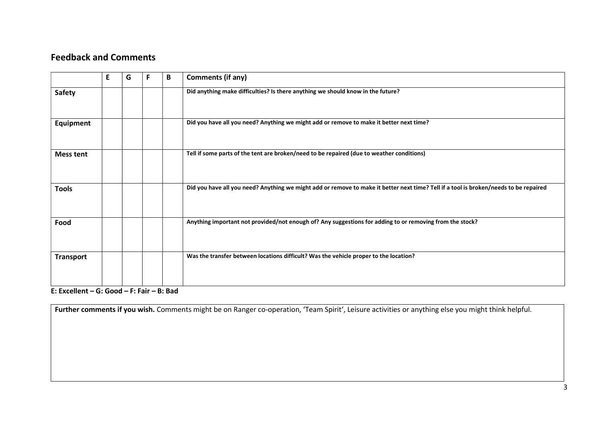## Feedback and Comments

|                  | E. | G | F | B | <b>Comments (if any)</b>                                                                                                              |
|------------------|----|---|---|---|---------------------------------------------------------------------------------------------------------------------------------------|
| <b>Safety</b>    |    |   |   |   | Did anything make difficulties? Is there anything we should know in the future?                                                       |
| <b>Equipment</b> |    |   |   |   | Did you have all you need? Anything we might add or remove to make it better next time?                                               |
| <b>Mess tent</b> |    |   |   |   | Tell if some parts of the tent are broken/need to be repaired (due to weather conditions)                                             |
| <b>Tools</b>     |    |   |   |   | Did you have all you need? Anything we might add or remove to make it better next time? Tell if a tool is broken/needs to be repaired |
| Food             |    |   |   |   | Anything important not provided/not enough of? Any suggestions for adding to or removing from the stock?                              |
| <b>Transport</b> |    |   |   |   | Was the transfer between locations difficult? Was the vehicle proper to the location?                                                 |
| . <i>.</i>       |    |   |   |   |                                                                                                                                       |

E: Excellent – G: Good – F: Fair – B: Bad

Further comments if you wish. Comments might be on Ranger co-operation, 'Team Spirit', Leisure activities or anything else you might think helpful.